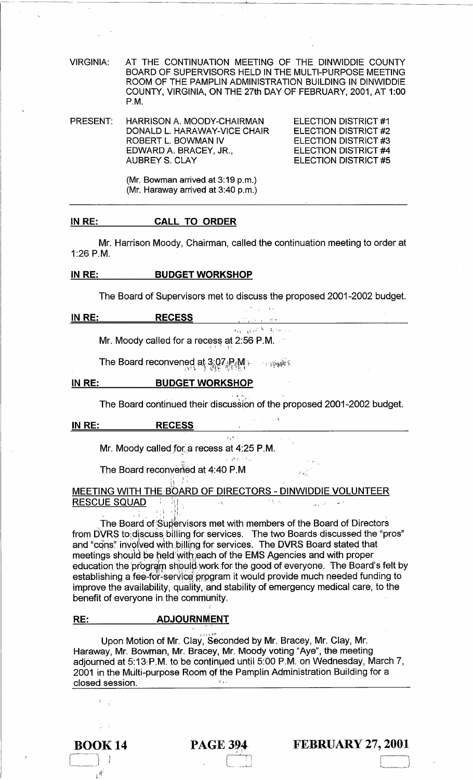VIRGINIA: AT THE CONTINUATION MEETING OF THE DINWIDDIE COUNTY BOARD OF SUPERVISORS HELD IN THE MULTI-PURPOSE MEETING ROOM OF THE PAMPLIN ADMINISTRATION BUILDING IN DINWIDDIE COUNTY, VIRGINIA, ON THE 27th DAY OF FEBRUARY, 2001, AT 1:00 P.M.

------------------''--,--, -~--------- -----

PRESENT: HARRISON A. MOODY-CHAIRMAN DONALD L. HARAWAY-VICE CHAIR ROBERT L. BOWMAN IV EDWARD A. BRACEY, JR., AUBREY S. CLAY

ELECTION DISTRICT #1 ELECTION DISTRICT #2 ELECTION DISTRICT #3 ELECTION DISTRICT #4 ELECTION DISTRICT #5

(Mr. Bowman arrived at 3:19 p.m.) (Mr. Haraway arrived at 3:40 p.m.)

#### IN RE: CALL TO ORDER

Mr. Harrison Moody, Chairman, called the continuation meeting to order at 1:26 P.M.

## IN RE: BUDGET WORKSHOP

The Board of Supervisors met to discuss the proposed 2001-2002 budget.

|               |                                            | and the company of the com- |  |
|---------------|--------------------------------------------|-----------------------------|--|
| <u>IN RE:</u> | <b>RECESS</b>                              | しょくしょうしょく スケイ               |  |
|               |                                            | ing gan Miden av            |  |
|               | Mr. Moody called for a recess at 2:56 P.M. |                             |  |

The Board reconvened at 3:07  $R_1M_1$  . . . . . . . . .

## IN RE: BUDGET WORKSHOP

The Board continued their discussion of the proposed 2001-2002 budget.

. \

## IN RE: RECESS

Mr. Moody called for a recess at 4:25 P.M.

The Board reconversed at 4:40 P.M

 $\cdot$  ;  $\cdot$ 

## MEETING WITH THE BOARD OF DIRECTORS - DINWIDDIE VOLUNTEER RESC~E SQU~D , : !,'iJ. ,'" .- .

The Board of Supervisors met with members of the Board of Directors from DVRS to discuss billing for services. The two Boards discussed the "pros" and "cons" involved with billing for services. The DVRS Board stated that meetings should be held with each of the EMS Agencies and with proper education the program should work for the good of everyone. The Board's felt by establishing a fee-for-service program it would provide much needed funding to improve the availability, quality, and stability of emergency medical care, to the benefit of everyone in the community.

### RE: ADJOURNMENT

Upon Motion of Mr. Clay, Seconded by Mr. Bracey, Mr. Clay, Mr. Haraway, Mr. Bowman, Mr. Bracey, Mr. Moody voting "Aye", the meeting adjourned at 5:13;P.M. to be continued until 5:00 P.M. on Wednesday, March 7, 2001 in the MUlti-purpose Room of the Pamplin Administration Building for a closed session.

# BOOK 14  $\Box$

 $\mathfrak{z}^{\mathfrak{q}^{\mathbb{Z}}}$ 

## **PAGE 394**

 $\Box$ 

## FEBRUARY 27, 2001

 $\lfloor$